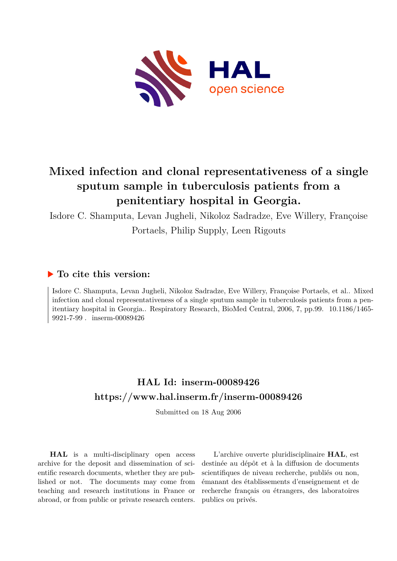

# **Mixed infection and clonal representativeness of a single sputum sample in tuberculosis patients from a penitentiary hospital in Georgia.**

Isdore C. Shamputa, Levan Jugheli, Nikoloz Sadradze, Eve Willery, Françoise Portaels, Philip Supply, Leen Rigouts

## **To cite this version:**

Isdore C. Shamputa, Levan Jugheli, Nikoloz Sadradze, Eve Willery, Françoise Portaels, et al.. Mixed infection and clonal representativeness of a single sputum sample in tuberculosis patients from a penitentiary hospital in Georgia.. Respiratory Research, BioMed Central, 2006, 7, pp.99. 10.1186/1465-9921-7-99 . inserm-00089426

# **HAL Id: inserm-00089426 <https://www.hal.inserm.fr/inserm-00089426>**

Submitted on 18 Aug 2006

**HAL** is a multi-disciplinary open access archive for the deposit and dissemination of scientific research documents, whether they are published or not. The documents may come from teaching and research institutions in France or abroad, or from public or private research centers.

L'archive ouverte pluridisciplinaire **HAL**, est destinée au dépôt et à la diffusion de documents scientifiques de niveau recherche, publiés ou non, émanant des établissements d'enseignement et de recherche français ou étrangers, des laboratoires publics ou privés.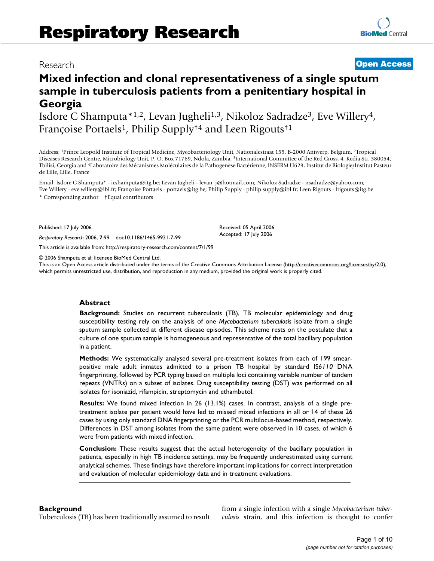## Research **[Open Access](http://www.biomedcentral.com/info/about/charter/)**

## **Mixed infection and clonal representativeness of a single sputum sample in tuberculosis patients from a penitentiary hospital in Georgia**

Isdore C Shamputa<sup>\*1,2</sup>, Levan Jugheli<sup>1,3</sup>, Nikoloz Sadradze<sup>3</sup>, Eve Willery<sup>4</sup>, Françoise Portaels<sup>1</sup>, Philip Supply†4 and Leen Rigouts†1

Address: <sup>1</sup>Prince Leopold Institute of Tropical Medicine, Mycobacteriology Unit, Nationalestraat 155, B-2000 Antwerp, Belgium, <sup>2</sup>Tropical Diseases Research Centre, Microbiology Unit, P. O. Box 71769, Ndola, Zambia, <sup>3</sup>International Committee of the Red Cross, 4, Kedia Str. 380054, Tbilisi, Georgia and <sup>4</sup>Laboratoire des Mécanismes Moléculaires de la Pathogenèse Bactérienne, INSERM U629, Institut de Biologie/Institut Pasteur de Lille, Lille, France

Email: Isdore C Shamputa\* - icshamputa@itg.be; Levan Jugheli - levan\_j@hotmail.com; Nikoloz Sadradze - nsadradze@yahoo.com; Eve Willery - eve.willery@ibl.fr; Françoise Portaels - portaels@itg.be; Philip Supply - philip.supply@ibl.fr; Leen Rigouts - lrigouts@itg.be \* Corresponding author †Equal contributors

Published: 17 July 2006

*Respiratory Research* 2006, **7**:99 doi:10.1186/1465-9921-7-99

[This article is available from: http://respiratory-research.com/content/7/1/99](http://respiratory-research.com/content/7/1/99)

© 2006 Shamputa et al; licensee BioMed Central Ltd.

This is an Open Access article distributed under the terms of the Creative Commons Attribution License [\(http://creativecommons.org/licenses/by/2.0\)](http://creativecommons.org/licenses/by/2.0), which permits unrestricted use, distribution, and reproduction in any medium, provided the original work is properly cited.

Received: 05 April 2006 Accepted: 17 July 2006

#### **Abstract**

**Background:** Studies on recurrent tuberculosis (TB), TB molecular epidemiology and drug susceptibility testing rely on the analysis of one *Mycobacterium tuberculosis* isolate from a single sputum sample collected at different disease episodes. This scheme rests on the postulate that a culture of one sputum sample is homogeneous and representative of the total bacillary population in a patient.

**Methods:** We systematically analysed several pre-treatment isolates from each of 199 smearpositive male adult inmates admitted to a prison TB hospital by standard IS*6110* DNA fingerprinting, followed by PCR typing based on multiple loci containing variable number of tandem repeats (VNTRs) on a subset of isolates. Drug susceptibility testing (DST) was performed on all isolates for isoniazid, rifampicin, streptomycin and ethambutol.

**Results:** We found mixed infection in 26 (13.1%) cases. In contrast, analysis of a single pretreatment isolate per patient would have led to missed mixed infections in all or 14 of these 26 cases by using only standard DNA fingerprinting or the PCR multilocus-based method, respectively. Differences in DST among isolates from the same patient were observed in 10 cases, of which 6 were from patients with mixed infection.

**Conclusion:** These results suggest that the actual heterogeneity of the bacillary population in patients, especially in high TB incidence settings, may be frequently underestimated using current analytical schemes. These findings have therefore important implications for correct interpretation and evaluation of molecular epidemiology data and in treatment evaluations.

#### **Background**

Tuberculosis (TB) has been traditionally assumed to result

from a single infection with a single *Mycobacterium tuberculosis* strain, and this infection is thought to confer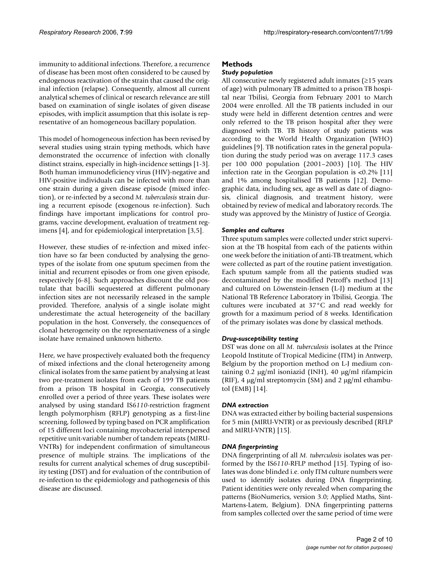immunity to additional infections. Therefore, a recurrence of disease has been most often considered to be caused by endogenous reactivation of the strain that caused the original infection (relapse). Consequently, almost all current analytical schemes of clinical or research relevance are still based on examination of single isolates of given disease episodes, with implicit assumption that this isolate is representative of an homogeneous bacillary population.

This model of homogeneous infection has been revised by several studies using strain typing methods, which have demonstrated the occurrence of infection with clonally distinct strains, especially in high-incidence settings [\[1-](#page-9-0)3]. Both human immunodeficiency virus (HIV)-negative and HIV-positive individuals can be infected with more than one strain during a given disease episode (mixed infection), or re-infected by a second *M. tuberculosis* strain during a recurrent episode (exogenous re-infection). Such findings have important implications for control programs, vaccine development, evaluation of treatment regimens [4], and for epidemiological interpretation [3,5].

However, these studies of re-infection and mixed infection have so far been conducted by analysing the genotypes of the isolate from one sputum specimen from the initial and recurrent episodes or from one given episode, respectively [6-8]. Such approaches discount the old postulate that bacilli sequestered at different pulmonary infection sites are not necessarily released in the sample provided. Therefore, analysis of a single isolate might underestimate the actual heterogeneity of the bacillary population in the host. Conversely, the consequences of clonal heterogeneity on the representativeness of a single isolate have remained unknown hitherto.

Here, we have prospectively evaluated both the frequency of mixed infections and the clonal heterogeneity among clinical isolates from the same patient by analysing at least two pre-treatment isolates from each of 199 TB patients from a prison TB hospital in Georgia, consecutively enrolled over a period of three years. These isolates were analysed by using standard IS6*110*-restriction fragment length polymorphism (RFLP) genotyping as a first-line screening, followed by typing based on PCR amplification of 15 different loci containing mycobacterial interspersed repetitive unit-variable number of tandem repeats (MIRU-VNTRs) for independent confirmation of simultaneous presence of multiple strains. The implications of the results for current analytical schemes of drug susceptibility testing (DST) and for evaluation of the contribution of re-infection to the epidemiology and pathogenesis of this disease are discussed.

### **Methods**

#### *Study population*

All consecutive newly registered adult inmates  $(≥15$  years of age) with pulmonary TB admitted to a prison TB hospital near Tbilisi, Georgia from February 2001 to March 2004 were enrolled. All the TB patients included in our study were held in different detention centres and were only referred to the TB prison hospital after they were diagnosed with TB. TB history of study patients was according to the World Health Organization (WHO) guidelines [9]. TB notification rates in the general population during the study period was on average 117.3 cases per 100 000 population (2001–2003) [10]. The HIV infection rate in the Georgian population is <0.2% [11] and 1% among hospitalised TB patients [12]. Demographic data, including sex, age as well as date of diagnosis, clinical diagnosis, and treatment history, were obtained by review of medical and laboratory records. The study was approved by the Ministry of Justice of Georgia.

#### *Samples and cultures*

Three sputum samples were collected under strict supervision at the TB hospital from each of the patients within one week before the initiation of anti-TB treatment, which were collected as part of the routine patient investigation. Each sputum sample from all the patients studied was decontaminated by the modified Petroff's method [13] and cultured on Löwenstein-Jensen (L-J) medium at the National TB Reference Laboratory in Tbilisi, Georgia. The cultures were incubated at 37°C and read weekly for growth for a maximum period of 8 weeks. Identification of the primary isolates was done by classical methods.

#### *Drug-susceptibility testing*

DST was done on all *M. tuberculosis* isolates at the Prince Leopold Institute of Tropical Medicine (ITM) in Antwerp, Belgium by the proportion method on L-J medium containing 0.2 µg/ml isoniazid (INH), 40 µg/ml rifampicin (RIF), 4  $\mu$ g/ml streptomycin (SM) and 2  $\mu$ g/ml ethambutol (EMB) [14].

#### *DNA extraction*

DNA was extracted either by boiling bacterial suspensions for 5 min (MIRU-VNTR) or as previously described (RFLP and MIRU-VNTR) [15].

#### *DNA fingerprinting*

DNA fingerprinting of all *M. tuberculosis* isolates was performed by the IS*6110*-RFLP method [15]. Typing of isolates was done blinded i.e. only ITM culture numbers were used to identify isolates during DNA fingerprinting. Patient identities were only revealed when comparing the patterns (BioNumerics, version 3.0; Applied Maths, Sint-Martens-Latem, Belgium). DNA fingerprinting patterns from samples collected over the same period of time were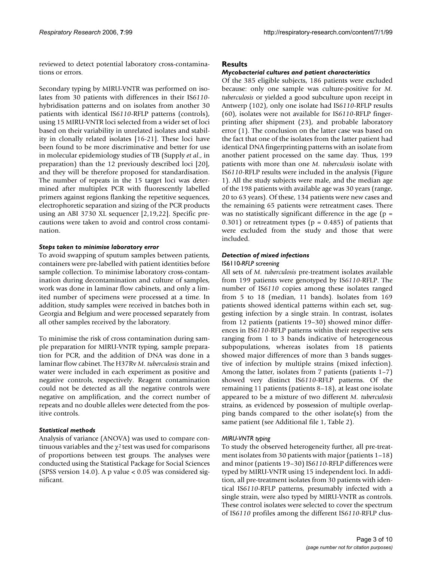reviewed to detect potential laboratory cross-contaminations or errors.

Secondary typing by MIRU-VNTR was performed on isolates from 30 patients with differences in their IS*6110* hybridisation patterns and on isolates from another 30 patients with identical IS*6110*-RFLP patterns (controls), using 15 MIRU-VNTR loci selected from a wider set of loci based on their variability in unrelated isolates and stability in clonally related isolates [\[16](#page-9-1)-21]. These loci have been found to be more discriminative and better for use in molecular epidemiology studies of TB (Supply *et al*., in preparation) than the 12 previously described loci [20], and they will be therefore proposed for standardisation. The number of repeats in the 15 target loci was determined after multiplex PCR with fluorescently labelled primers against regions flanking the repetitive sequences, electrophoretic separation and sizing of the PCR products using an ABI 3730 XL sequencer [2,19,22]. Specific precautions were taken to avoid and control cross contamination.

#### *Steps taken to minimise laboratory error*

To avoid swapping of sputum samples between patients, containers were pre-labelled with patient identities before sample collection. To minimise laboratory cross-contamination during decontamination and culture of samples, work was done in laminar flow cabinets, and only a limited number of specimens were processed at a time. In addition, study samples were received in batches both in Georgia and Belgium and were processed separately from all other samples received by the laboratory.

To minimise the risk of cross contamination during sample preparation for MIRU-VNTR typing, sample preparation for PCR, and the addition of DNA was done in a laminar flow cabinet. The H37Rv *M. tuberculosis* strain and water were included in each experiment as positive and negative controls, respectively. Reagent contamination could not be detected as all the negative controls were negative on amplification, and the correct number of repeats and no double alleles were detected from the positive controls.

#### *Statistical methods*

Analysis of variance (ANOVA) was used to compare continuous variables and the  $\chi^2$  test was used for comparisons of proportions between test groups. The analyses were conducted using the Statistical Package for Social Sciences (SPSS version 14.0). A p value  $< 0.05$  was considered significant.

#### **Results**

#### *Mycobacterial cultures and patient characteristics*

Of the 385 eligible subjects, 186 patients were excluded because: only one sample was culture-positive for *M. tuberculosis* or yielded a good subculture upon receipt in Antwerp (102), only one isolate had IS*6110*-RFLP results (60), isolates were not available for IS*6110*-RFLP fingerprinting after shipment (23), and probable laboratory error (1). The conclusion on the latter case was based on the fact that one of the isolates from the latter patient had identical DNA fingerprinting patterns with an isolate from another patient processed on the same day. Thus, 199 patients with more than one *M. tuberculosis* isolate with IS*6110*-RFLP results were included in the analysis (Figure 1). All the study subjects were male, and the median age of the 198 patients with available age was 30 years (range, 20 to 63 years). Of these, 134 patients were new cases and the remaining 65 patients were retreatment cases. There was no statistically significant difference in the age  $(p =$ 0.301) or retreatment types ( $p = 0.485$ ) of patients that were excluded from the study and those that were included.

#### *Detection of mixed infections* IS6110*-RFLP screening*

All sets of *M. tuberculosis* pre-treatment isolates available from 199 patients were genotyped by IS*6110*-RFLP. The number of IS*6110* copies among these isolates ranged from 5 to 18 (median, 11 bands). Isolates from 169 patients showed identical patterns within each set, suggesting infection by a single strain. In contrast, isolates from 12 patients (patients 19–30) showed minor differences in IS*6110*-RFLP patterns within their respective sets ranging from 1 to 3 bands indicative of heterogeneous subpopulations, whereas isolates from 18 patients showed major differences of more than 3 bands suggestive of infection by multiple strains (mixed infection). Among the latter, isolates from 7 patients (patients 1–7) showed very distinct IS*6110*-RFLP patterns. Of the remaining 11 patients (patients 8–18), at least one isolate appeared to be a mixture of two different *M. tuberculosis* strains, as evidenced by possession of multiple overlapping bands compared to the other isolate(s) from the same patient (see Additional file 1, Table 2).

#### *MIRU-VNTR typing*

To study the observed heterogeneity further, all pre-treatment isolates from 30 patients with major (patients 1–18) and minor (patients 19–30) IS*6110*-RFLP differences were typed by MIRU-VNTR using 15 independent loci. In addition, all pre-treatment isolates from 30 patients with identical IS*6110*-RFLP patterns, presumably infected with a single strain, were also typed by MIRU-VNTR as controls. These control isolates were selected to cover the spectrum of IS*6110* profiles among the different IS*6110*-RFLP clus-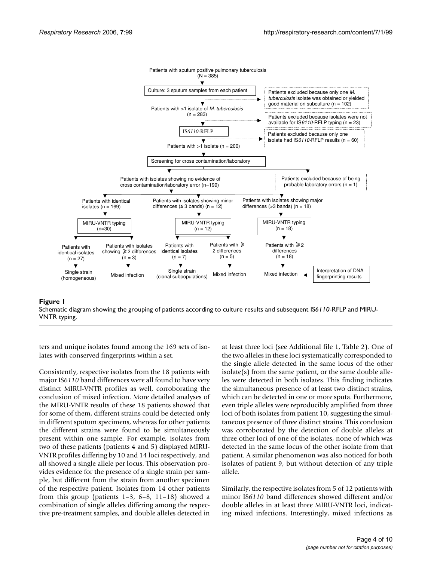

#### Schematic diagram showing the grouping of patients VNTR typing **Figure 1** according to culture results and subsequent IS*6110*-RFLP and MIRU-

Schematic diagram showing the grouping of patients according to culture results and subsequent IS*6110*-RFLP and MIRU-VNTR typing.

ters and unique isolates found among the 169 sets of isolates with conserved fingerprints within a set.

Consistently, respective isolates from the 18 patients with major IS*6110* band differences were all found to have very distinct MIRU-VNTR profiles as well, corroborating the conclusion of mixed infection. More detailed analyses of the MIRU-VNTR results of these 18 patients showed that for some of them, different strains could be detected only in different sputum specimens, whereas for other patients the different strains were found to be simultaneously present within one sample. For example, isolates from two of these patients (patients 4 and 5) displayed MIRU-VNTR profiles differing by 10 and 14 loci respectively, and all showed a single allele per locus. This observation provides evidence for the presence of a single strain per sample, but different from the strain from another specimen of the respective patient. Isolates from 14 other patients from this group (patients  $1-3$ ,  $6-8$ ,  $11-18$ ) showed a combination of single alleles differing among the respective pre-treatment samples, and double alleles detected in at least three loci (see Additional file 1, Table 2). One of the two alleles in these loci systematically corresponded to the single allele detected in the same locus of the other isolate(s) from the same patient, or the same double alleles were detected in both isolates. This finding indicates the simultaneous presence of at least two distinct strains, which can be detected in one or more sputa. Furthermore, even triple alleles were reproducibly amplified from three loci of both isolates from patient 10, suggesting the simultaneous presence of three distinct strains. This conclusion was corroborated by the detection of double alleles at three other loci of one of the isolates, none of which was detected in the same locus of the other isolate from that patient. A similar phenomenon was also noticed for both isolates of patient 9, but without detection of any triple allele.

Similarly, the respective isolates from 5 of 12 patients with minor IS*6110* band differences showed different and/or double alleles in at least three MIRU-VNTR loci, indicating mixed infections. Interestingly, mixed infections as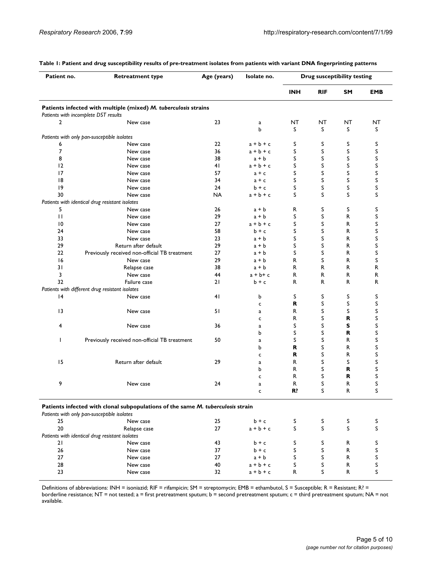| Patient no.     | <b>Retreatment type</b>                                                         | Age (years) | Isolate no.              | <b>Drug susceptibility testing</b> |            |           |            |
|-----------------|---------------------------------------------------------------------------------|-------------|--------------------------|------------------------------------|------------|-----------|------------|
|                 |                                                                                 |             |                          | <b>INH</b>                         | <b>RIF</b> | <b>SM</b> | <b>EMB</b> |
|                 | Patients infected with multiple (mixed) M. tuberculosis strains                 |             |                          |                                    |            |           |            |
|                 | Patients with incomplete DST results                                            |             |                          |                                    |            |           |            |
| 2               | New case                                                                        | 23          | a                        | NT                                 | NT         | NT        | NT         |
|                 |                                                                                 |             | b                        | S                                  | S          | s         | s          |
|                 | Patients with only pan-susceptible isolates                                     |             |                          |                                    | S          |           |            |
| 6<br>7          | New case<br>New case                                                            | 22<br>36    | a + b + c<br>$a + b + c$ | S<br>S                             | S          | S<br>S    | S<br>S     |
| 8               |                                                                                 | 38          | a + b                    | S                                  | S          | S         | S          |
| 12              | New case                                                                        | 41          | a + b + c                | S                                  | S          | S         | S          |
| 17              | New case                                                                        | 57          | $a + c$                  | S                                  | S          | S         | S          |
| 18              | New case                                                                        | 34          | $a + c$                  | S                                  | S          | S         | S          |
| 9               | New case                                                                        | 24          | $b + c$                  | S                                  | S          | S         | S          |
| 30              | New case<br>New case                                                            | <b>NA</b>   | a + b + c                | S                                  | S          | S         | S          |
|                 |                                                                                 |             |                          |                                    |            |           |            |
| 5               | Patients with identical drug resistant isolates<br>New case                     | 26          | a + b                    | R                                  | S          | S         | S          |
| П               | New case                                                                        | 29          | $a + b$                  | S                                  | S          | R         | S          |
| 10              |                                                                                 | 27          | $a + b + c$              | S                                  | S          | R         | S          |
| 24              | New case<br>New case                                                            | 58          | $b + c$                  | S                                  | S          | R         | S          |
| 33              | New case                                                                        | 23          | $a + b$                  | S                                  | S          | R         | S          |
| 29              |                                                                                 | 29          |                          | S                                  | S          |           | S          |
| 22              | Return after default<br>Previously received non-official TB treatment           | 27          | $a + b$                  | S                                  | S          | R<br>R    | S          |
|                 |                                                                                 | 29          | a + b                    |                                    | S          |           | S          |
| 16              | New case                                                                        |             | a + b                    | R                                  |            | R         |            |
| 31              | Relapse case                                                                    | 38          | a + b                    | R                                  | R          | R         | R          |
| 3<br>32         | New case                                                                        | 44<br>21    | $a + b + c$              | R<br>R                             | R<br>R     | R         | R          |
|                 | Failure case                                                                    |             | $b + c$                  |                                    |            | R         | R          |
|                 | Patients with different drug resistant isolates                                 | 41          |                          | S                                  | S          |           |            |
| 4               | New case                                                                        |             | b                        | R                                  | S          | S<br>S    | S<br>S     |
|                 |                                                                                 |             | c                        |                                    | S          | S         | S          |
| $\overline{13}$ | New case                                                                        | 51          | a                        | R                                  |            |           |            |
|                 |                                                                                 |             | C                        | R                                  | S          | R         | S          |
| 4               | New case                                                                        | 36          | a                        | S                                  | S          | S         | S          |
|                 |                                                                                 |             | b                        | S                                  | S          | R         | S          |
| I.              | Previously received non-official TB treatment                                   | 50          | a                        | S                                  | S          | R         | S          |
|                 |                                                                                 |             | b                        | R                                  | S          | R         | S          |
|                 |                                                                                 |             | c                        | R                                  | S          | R         | S          |
| 15              | Return after default                                                            | 29          | a                        | R                                  | S          | S         | S          |
|                 |                                                                                 |             | b                        | R                                  | S          | R         | S          |
|                 |                                                                                 |             | c                        | R                                  | S          | R         | S          |
| 9               | New case                                                                        | 24          | a                        | R                                  | S          | R         | S          |
|                 |                                                                                 |             | c                        | R?                                 | S          | R         | s          |
|                 | Patients infected with clonal subpopulations of the same M. tuberculosis strain |             |                          |                                    |            |           |            |
|                 | Patients with only pan-susceptible isolates                                     |             |                          |                                    |            |           |            |
| 25              | New case                                                                        | 25          | $b + c$                  | S                                  | S          | S         | s          |
| 20              | Relapse case                                                                    | 27          | $a + b + c$              | S                                  | S          | S         | S          |
|                 | Patients with identical drug resistant isolates                                 |             |                          |                                    |            |           |            |
| 21              | New case                                                                        | 43          | $b + c$                  | S                                  | S          | R         | s          |
| 26              | New case                                                                        | 37          | $b + c$                  | S                                  | S          | R         | S          |
| 27              | New case                                                                        | 27          | $a + b$                  | S                                  | S          | R         | S          |
| 28              | New case                                                                        | 40          | $a + b + c$              | S                                  | S          | R         | S          |
| 23              | New case                                                                        | 32          | $a + b + c$              | R                                  | S          | R         | s          |

**Table 1: Patient and drug susceptibility results of pre-treatment isolates from patients with variant DNA fingerprinting patterns**

Definitions of abbreviations: INH = isoniazid; RIF = rifampicin; SM = streptomycin; EMB = ethambutol, S = Susceptible; R = Resistant; R? = borderline resistance; NT = not tested; a = first pretreatment sputum; b = second pretreatment sputum; c = third pretreatment sputum; NA = not available.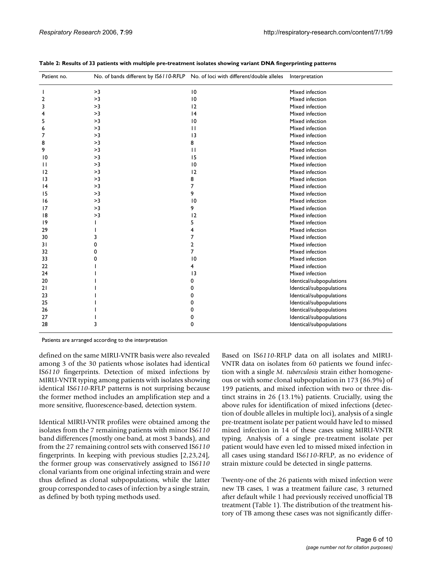| Patient no.    |    | No. of bands different by IS6110-RFLP No. of loci with different/double alleles | Interpretation           |
|----------------|----|---------------------------------------------------------------------------------|--------------------------|
|                | >3 | 10                                                                              | Mixed infection          |
| $\overline{2}$ | >3 | 10                                                                              | Mixed infection          |
| 3              | >3 | 12                                                                              | Mixed infection          |
| 4              | >3 | 4                                                                               | Mixed infection          |
| 5              | >3 | 10                                                                              | Mixed infection          |
| 6              | >3 | $\mathbf{H}$                                                                    | Mixed infection          |
| 7              | >3 | $\overline{13}$                                                                 | Mixed infection          |
| 8              | >3 | 8                                                                               | Mixed infection          |
| 9              | >3 | $\mathbf{H}$                                                                    | Mixed infection          |
| 10             | >3 | 15                                                                              | Mixed infection          |
| Ш              | >3 | 10                                                                              | Mixed infection          |
| 12             | >3 | 12                                                                              | Mixed infection          |
| 13             | >3 | 8                                                                               | Mixed infection          |
| 4              | >3 | 7                                                                               | Mixed infection          |
| 15             | >3 | 9                                                                               | Mixed infection          |
| 16             | >3 | 10                                                                              | Mixed infection          |
| 17             | >3 | 9                                                                               | Mixed infection          |
| 18             | >3 | 12                                                                              | Mixed infection          |
| 9              |    | 5                                                                               | Mixed infection          |
| 29             |    | 4                                                                               | Mixed infection          |
| 30             | 3  | 7                                                                               | Mixed infection          |
| 31             | 0  | $\overline{2}$                                                                  | Mixed infection          |
| 32             | 0  | 7                                                                               | Mixed infection          |
| 33             | o  | 10                                                                              | Mixed infection          |
| 22             |    | 4                                                                               | Mixed infection          |
| 24             |    | $\overline{13}$                                                                 | Mixed infection          |
| 20             |    | 0                                                                               | Identical/subpopulations |
| 21             |    | 0                                                                               | Identical/subpopulations |
| 23             |    | 0                                                                               | Identical/subpopulations |
| 25             |    | 0                                                                               | Identical/subpopulations |
| 26             |    | 0                                                                               | Identical/subpopulations |
| 27             |    | 0                                                                               | Identical/subpopulations |
| 28             |    | 0                                                                               | Identical/subpopulations |

| Table 2: Results of 33 patients with multiple pre-treatment isolates showing variant DNA fingerprinting patterns |  |  |  |  |  |
|------------------------------------------------------------------------------------------------------------------|--|--|--|--|--|
|------------------------------------------------------------------------------------------------------------------|--|--|--|--|--|

Patients are arranged according to the interpretation

defined on the same MIRU-VNTR basis were also revealed among 3 of the 30 patients whose isolates had identical IS*6110* fingerprints. Detection of mixed infections by MIRU-VNTR typing among patients with isolates showing identical IS*6110*-RFLP patterns is not surprising because the former method includes an amplification step and a more sensitive, fluorescence-based, detection system.

Identical MIRU-VNTR profiles were obtained among the isolates from the 7 remaining patients with minor IS*6110* band differences (mostly one band, at most 3 bands), and from the 27 remaining control sets with conserved IS*6110* fingerprints. In keeping with previous studies [2,23,24], the former group was conservatively assigned to IS*6110* clonal variants from one original infecting strain and were thus defined as clonal subpopulations, while the latter group corresponded to cases of infection by a single strain, as defined by both typing methods used.

Based on IS*6110*-RFLP data on all isolates and MIRU-VNTR data on isolates from 60 patients we found infection with a single *M. tuberculosis* strain either homogeneous or with some clonal subpopulation in 173 (86.9%) of 199 patients, and mixed infection with two or three distinct strains in 26 (13.1%) patients. Crucially, using the above rules for identification of mixed infections (detection of double alleles in multiple loci), analysis of a single pre-treatment isolate per patient would have led to missed mixed infection in 14 of these cases using MIRU-VNTR typing. Analysis of a single pre-treatment isolate per patient would have even led to missed mixed infection in all cases using standard IS*6110*-RFLP, as no evidence of strain mixture could be detected in single patterns.

Twenty-one of the 26 patients with mixed infection were new TB cases, 1 was a treatment failure case, 3 returned after default while 1 had previously received unofficial TB treatment (Table 1). The distribution of the treatment history of TB among these cases was not significantly differ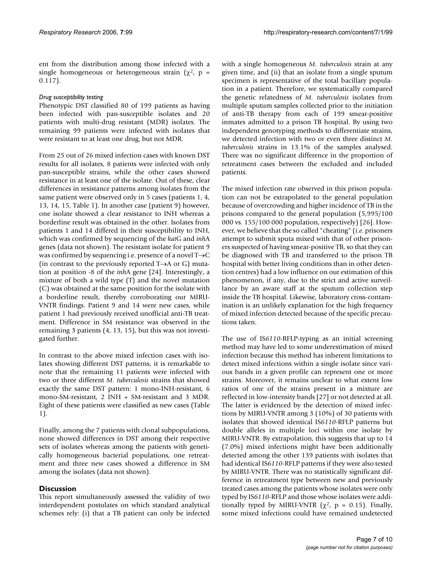ent from the distribution among those infected with a single homogeneous or heterogeneous strain ( $\chi^2$ , p = 0.117).

#### *Drug susceptibility testing*

Phenotypic DST classified 80 of 199 patients as having been infected with pan-susceptible isolates and 20 patients with multi-drug resistant (MDR) isolates. The remaining 99 patients were infected with isolates that were resistant to at least one drug, but not MDR.

From 25 out of 26 mixed infection cases with known DST results for all isolates, 8 patients were infected with only pan-susceptible strains, while the other cases showed resistance in at least one of the isolate. Out of these, clear differences in resistance patterns among isolates from the same patient were observed only in 5 cases (patients 1, 4, 13, 14, 15, Table 1). In another case (patient 9) however, one isolate showed a clear resistance to INH whereas a borderline result was obtained in the other. Isolates from patients 1 and 14 differed in their susceptibility to INH, which was confirmed by sequencing of the *kat*G and *inh*A genes (data not shown). The resistant isolate for patient 9 was confirmed by sequencing i.e. presence of a novel T→C (in contrast to the previously reported T→A or G) mutation at position -8 of the *inh*A gene [24]. Interestingly, a mixture of both a wild type (T) and the novel mutation (C) was obtained at the same position for the isolate with a borderline result, thereby corroborating our MIRU-VNTR findings. Patient 9 and 14 were new cases, while patient 1 had previously received unofficial anti-TB treatment. Difference in SM resistance was observed in the remaining 3 patients (4, 13, 15), but this was not investigated further.

In contrast to the above mixed infection cases with isolates showing different DST patterns, it is remarkable to note that the remaining 11 patients were infected with two or three different *M. tuberculosis* strains that showed exactly the same DST pattern: 1 mono-INH-resistant, 6 mono-SM-resistant, 2 INH + SM-resistant and 3 MDR. Eight of these patients were classified as new cases (Table 1).

Finally, among the 7 patients with clonal subpopulations, none showed differences in DST among their respective sets of isolates whereas among the patients with genetically homogeneous bacterial populations, one retreatment and three new cases showed a difference in SM among the isolates (data not shown).

#### **Discussion**

This report simultaneously assessed the validity of two interdependent postulates on which standard analytical schemes rely: (i) that a TB patient can only be infected

with a single homogeneous *M. tuberculosis* strain at any given time, and (ii) that an isolate from a single sputum specimen is representative of the total bacillary population in a patient. Therefore, we systematically compared the genetic relatedness of *M. tuberculosis* isolates from multiple sputum samples collected prior to the initiation of anti-TB therapy from each of 199 smear-positive inmates admitted to a prison TB hospital. By using two independent genotyping methods to differentiate strains, we detected infection with two or even three distinct *M. tuberculosis* strains in 13.1% of the samples analysed. There was no significant difference in the proportion of retreatment cases between the excluded and included patients.

The mixed infection rate observed in this prison population can not be extrapolated to the general population because of overcrowding and higher incidence of TB in the prisons compared to the general population (5,995/100 000 vs. 155/100 000 population, respectively) [26]. However, we believe that the so called "cheating" (*i.e*. prisoners attempt to submit sputa mixed with that of other prisoners suspected of having smear-positive TB, so that they can be diagnosed with TB and transferred to the prison TB hospital with better living conditions than in other detention centres) had a low influence on our estimation of this phenomenon, if any, due to the strict and active surveillance by an aware staff at the sputum collection step inside the TB hospital. Likewise, laboratory cross-contamination is an unlikely explanation for the high frequency of mixed infection detected because of the specific precautions taken.

The use of IS*6110*-RFLP-typing as an initial screening method may have led to some underestimation of mixed infection because this method has inherent limitations to detect mixed infections within a single isolate since various bands in a given profile can represent one or more strains. Moreover, it remains unclear to what extent low ratios of one of the strains present in a mixture are reflected in low-intensity bands [27] or not detected at all. The latter is evidenced by the detection of mixed infections by MIRU-VNTR among 3 (10%) of 30 patients with isolates that showed identical IS*6110*-RFLP patterns but double alleles in multiple loci within one isolate by MIRU-VNTR. By extrapolation, this suggests that up to 14 (7.0%) mixed infections might have been additionally detected among the other 139 patients with isolates that had identical IS*6110*-RFLP patterns if they were also tested by MIRU-VNTR. There was no statistically significant difference in retreatment type between new and previously treated cases among the patients whose isolates were only typed by IS*6110*-RFLP and those whose isolates were additionally typed by MIRU-VNTR  $(\chi^2, p = 0.15)$ . Finally, some mixed infections could have remained undetected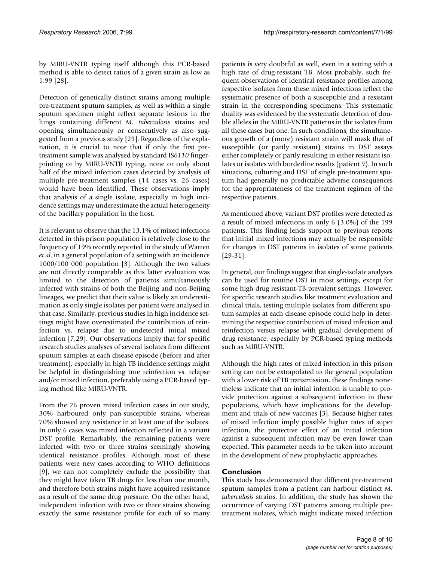by MIRU-VNTR typing itself although this PCR-based method is able to detect ratios of a given strain as low as 1:99 [28].

Detection of genetically distinct strains among multiple pre-treatment sputum samples, as well as within a single sputum specimen might reflect separate lesions in the lungs containing different *M. tuberculosis* strains and opening simultaneously or consecutively as also suggested from a previous study [29]. Regardless of the explanation, it is crucial to note that if only the first pretreatment sample was analysed by standard IS*6110* fingerprinting or by MIRU-VNTR typing, none or only about half of the mixed infection cases detected by analysis of multiple pre-treatment samples (14 cases vs. 26 cases) would have been identified. These observations imply that analysis of a single isolate, especially in high incidence settings may underestimate the actual heterogeneity of the bacillary population in the host.

It is relevant to observe that the 13.1% of mixed infections detected in this prison population is relatively close to the frequency of 19% recently reported in the study of Warren *et al*. in a general population of a setting with an incidence 1000/100 000 population [3]. Although the two values are not directly comparable as this latter evaluation was limited to the detection of patients simultaneously infected with strains of both the Beijing and non-Beijing lineages, we predict that their value is likely an underestimation as only single isolates per patient were analysed in that case. Similarly, previous studies in high incidence settings might have overestimated the contribution of reinfection vs. relapse due to undetected initial mixed infection [7,29]. Our observations imply that for specific research studies analyses of several isolates from different sputum samples at each disease episode (before and after treatment), especially in high TB incidence settings might be helpful in distinguishing true reinfection vs. relapse and/or mixed infection, preferably using a PCR-based typing method like MIRU-VNTR.

From the 26 proven mixed infection cases in our study, 30% harboured only pan-susceptible strains, whereas 70% showed any resistance in at least one of the isolates. In only 6 cases was mixed infection reflected in a variant DST profile. Remarkably, the remaining patients were infected with two or three strains seemingly showing identical resistance profiles. Although most of these patients were new cases according to WHO definitions [9], we can not completely exclude the possibility that they might have taken TB drugs for less than one month, and therefore both strains might have acquired resistance as a result of the same drug pressure. On the other hand, independent infection with two or three strains showing exactly the same resistance profile for each of so many patients is very doubtful as well, even in a setting with a high rate of drug-resistant TB. Most probably, such frequent observations of identical resistance profiles among respective isolates from these mixed infections reflect the systematic presence of both a susceptible and a resistant strain in the corresponding specimens. This systematic duality was evidenced by the systematic detection of double alleles in the MIRU-VNTR patterns in the isolates from all these cases but one. In such conditions, the simultaneous growth of a (more) resistant strain will mask that of susceptible (or partly resistant) strains in DST assays either completely or partly resulting in either resistant isolates or isolates with borderline results (patient 9). In such situations, culturing and DST of single pre-treatment sputum had generally no predictable adverse consequences for the appropriateness of the treatment regimen of the respective patients.

As mentioned above, variant DST profiles were detected as a result of mixed infections in only 6 (3.0%) of the 199 patients. This finding lends support to previous reports that initial mixed infections may actually be responsible for changes in DST patterns in isolates of some patients [29[-31](#page-10-0)].

In general, our findings suggest that single-isolate analyses can be used for routine DST in most settings, except for some high drug resistant-TB-prevalent settings. However, for specific research studies like treatment evaluation and clinical trials, testing multiple isolates from different sputum samples at each disease episode could help in determining the respective contribution of mixed infection and reinfection versus relapse with gradual development of drug resistance, especially by PCR-based typing methods such as MIRU-VNTR.

Although the high rates of mixed infection in this prison setting can not be extrapolated to the general population with a lower risk of TB transmission, these findings nonetheless indicate that an initial infection is unable to provide protection against a subsequent infection in these populations, which have implications for the development and trials of new vaccines [3]. Because higher rates of mixed infection imply possible higher rates of super infection, the protective effect of an initial infection against a subsequent infection may be even lower than expected. This parameter needs to be taken into account in the development of new prophylactic approaches.

#### **Conclusion**

This study has demonstrated that different pre-treatment sputum samples from a patient can harbour distinct *M. tuberculosis* strains. In addition, the study has shown the occurrence of varying DST patterns among multiple pretreatment isolates, which might indicate mixed infection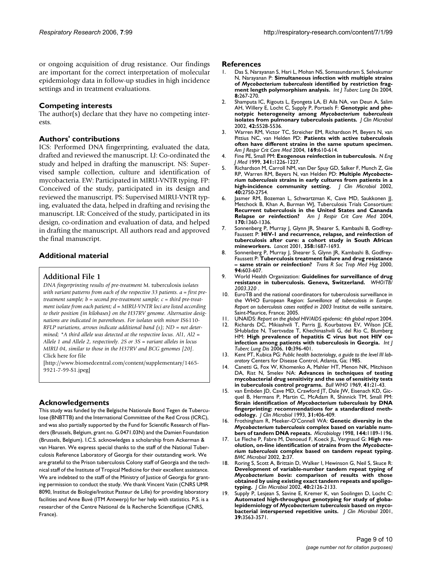or ongoing acquisition of drug resistance. Our findings are important for the correct interpretation of molecular epidemiology data in follow-up studies in high incidence settings and in treatment evaluations.

#### **Competing interests**

The author(s) declare that they have no competing interests.

#### **Authors' contributions**

ICS: Performed DNA fingerprinting, evaluated the data, drafted and reviewed the manuscript. LJ: Co-ordinated the study and helped in drafting the manuscript. NS: Supervised sample collection, culture and identification of mycobacteria. EW: Participated in MIRU-VNTR typing. FP: Conceived of the study, participated in its design and reviewed the manuscript. PS: Supervised MIRU-VNTR typing, evaluated the data, helped in drafting and revising the manuscript. LR: Conceived of the study, participated in its design, co-ordination and evaluation of data, and helped in drafting the manuscript. All authors read and approved the final manuscript.

#### **Additional material**

#### **Additional File 1**

*DNA fingerprinting results of pre-treatment* M. tuberculosis *isolates with variant patterns from each of the respective 33 patients. a = first pretreatment sample; b = second pre-treatment sample; c = third pre-treatment isolate from each patient; d = MIRU-VNTR loci are listed according to their position (in kilobases) on the H37RV genome. Alternative designations are indicated in parentheses. For isolates with minor IS*6110*- RFLP variations, arrows indicate additional band (s); ND = not determined; \*A third allele was detected at the respective locus. Al1, Al2 = Allele 1 and Allele 2, respectively. 2S or 3S = variant alleles in locus MIRU 04, similar to those in the H37RV and BCG genomes [20].* Click here for file

[\[http://www.biomedcentral.com/content/supplementary/1465-](http://www.biomedcentral.com/content/supplementary/1465-9921-7-99-S1.jpeg) 9921-7-99-S1.jpeg]

#### **Acknowledgements**

This study was funded by the Belgische Nationale Bond Tegen de Tuberculose (BNBTTB) and the International Committee of the Red Cross (ICRC), and was also partially supported by the Fund for Scientific Research of Flanders (Brussels, Belgium, grant no. G.0471.03N) and the Damien Foundation (Brussels, Belgium). I.C.S. acknowledges a scholarship from Ackerman & van Haaren. We express special thanks to the staff of the National Tuberculosis Reference Laboratory of Georgia for their outstanding work. We are grateful to the Prison tuberculosis Colony staff of Georgia and the technical staff of the Institute of Tropical Medicine for their excellent assistance. We are indebted to the staff of the Ministry of Justice of Georgia for granting permission to conduct the study. We thank Vincent Vatin (CNRS UMR 8090, Institut de Biologie/Institut Pasteur de Lille) for providing laboratory facilities and Anne Buvè (ITM Antwerp) for her help with statistics. P.S. is a researcher of the Centre National de la Recherche Scientifique (CNRS, France).

#### **References**

- <span id="page-9-0"></span>1. Das S, Narayanan S, Hari L, Mohan NS, Somasundaram S, Selvakumar N, Narayanan P: **Simultaneous infection with multiple strains of** *Mycobacterium tuberculosis* **[identified by restriction frag](http://www.ncbi.nlm.nih.gov/entrez/query.fcgi?cmd=Retrieve&db=PubMed&dopt=Abstract&list_uids=15139459)[ment length polymorphism analysis.](http://www.ncbi.nlm.nih.gov/entrez/query.fcgi?cmd=Retrieve&db=PubMed&dopt=Abstract&list_uids=15139459)** *Int J Tuberc Lung Dis* 2004, **8:**267-270.
- 2. Shamputa IC, Rigouts L, Eyongeta LA, El Aila NA, van Deun A, Salim AH, Willery E, Locht C, Supply P, Portaels F: **Genotypic and phenotypic heterogeneity among** *Mycobacterium tuberculosis* **isolates from pulmonary tuberculosis patients.** *J Clin Microbiol* 2002, **42:**5528-5536.
- 3. Warren RM, Victor TC, Streicher EM, Richardson M, Beyers N, van Pittius NC, van Helden PD: **[Patients with active tuberculosis](http://www.ncbi.nlm.nih.gov/entrez/query.fcgi?cmd=Retrieve&db=PubMed&dopt=Abstract&list_uids=14701710) [often have different strains in the same sputum specimen.](http://www.ncbi.nlm.nih.gov/entrez/query.fcgi?cmd=Retrieve&db=PubMed&dopt=Abstract&list_uids=14701710)** *Am J Respir Crit Care Med* 2004, **169:**610-614.
- 4. Fine PE, Small PM: **Exogenous reinfection in tuberculosis.** *N Eng J Med* 1999, **341:**1226-1227.
- 5. Richardson M, Carroll NM, van Der Spuy GD, Salker F, Munch Z, Gie RP, Warren RM, Beyers N, van Helden PD: **Multiple** *Mycobacterium tuberculosis* **[strains in early cultures from patients in a](http://www.ncbi.nlm.nih.gov/entrez/query.fcgi?cmd=Retrieve&db=PubMed&dopt=Abstract&list_uids=12149324) [high-incidence community setting.](http://www.ncbi.nlm.nih.gov/entrez/query.fcgi?cmd=Retrieve&db=PubMed&dopt=Abstract&list_uids=12149324)** *J Clin Microbiol* 2002, **40:**2750-2754.
- 6. Jasmer RM, Bozeman L, Schwartzman K, Cave MD, Saukkonen JJ, Metchock B, Khan A, Burman WJ, Tuberculosis Trials Consortium: **[Recurrent tuberculosis in the United States and Cananda](http://www.ncbi.nlm.nih.gov/entrez/query.fcgi?cmd=Retrieve&db=PubMed&dopt=Abstract&list_uids=15477492) [Relapse or reinfection?](http://www.ncbi.nlm.nih.gov/entrez/query.fcgi?cmd=Retrieve&db=PubMed&dopt=Abstract&list_uids=15477492)** *Am J Respir Crit Care Med* 2004, **170:**1360-1336.
- 7. Sonnenberg P, Murray J, Glynn JR, Shearer S, Kambashi B, Godfrey-Faussett P: **[HIV-1 and recurrence, relapse, and reinfection of](http://www.ncbi.nlm.nih.gov/entrez/query.fcgi?cmd=Retrieve&db=PubMed&dopt=Abstract&list_uids=11728545) [tuberculosis after cure: a cohort study in South African](http://www.ncbi.nlm.nih.gov/entrez/query.fcgi?cmd=Retrieve&db=PubMed&dopt=Abstract&list_uids=11728545) [mineworkers.](http://www.ncbi.nlm.nih.gov/entrez/query.fcgi?cmd=Retrieve&db=PubMed&dopt=Abstract&list_uids=11728545)** *Lancet* 2001, **358:**1687-1693.
- 8. Sonnenberg P, Murray J, Shearer S, Glynn JR, Kambashi B, Godfrey-Faussett P: **[Tuberculosis treatment failure and drug resistance](http://www.ncbi.nlm.nih.gov/entrez/query.fcgi?cmd=Retrieve&db=PubMed&dopt=Abstract&list_uids=11198641) [– same strain or reinfection?](http://www.ncbi.nlm.nih.gov/entrez/query.fcgi?cmd=Retrieve&db=PubMed&dopt=Abstract&list_uids=11198641)** *Trans R Soc Trop Med Hyg* 2000, **94:**603-607.
- 9. World Health Organization: **Guidelines for surveillance of drug resistance in tuberculosis. Geneva, Switzerland.** *WHO/TB/ 2003.320* .
- 10. EuroTB and the national coordinators for tuberculosis surveillance in the WHO European Region: *Surveillance of tuberculosis in Europe. Report on tuberculosis cases notified in 2003* Institut de veille sanitaire, Saint-Maurice, France; 2005.
- 11. UNAIDS: *Report on the global HIV/AIDS epidemic: 4th global report* 2004.
- 12. Richards DC, Mikiashvili T, Parris JJ, Kourbatova EV, Wilson JCE, SHubladze N, Tsertvadze T, Khechinashvili G, del Rio C, Blumberg HM: **[High prevalence of hepatitis C virus but not HIV co](http://www.ncbi.nlm.nih.gov/entrez/query.fcgi?cmd=Retrieve&db=PubMed&dopt=Abstract&list_uids=16602403)[infection among patients with tuberculosis in Georgia.](http://www.ncbi.nlm.nih.gov/entrez/query.fcgi?cmd=Retrieve&db=PubMed&dopt=Abstract&list_uids=16602403)** *Int J Tuberc Lung Dis* 2006, **10:**396-401.
- 13. Kent PT, Kubica PG: *Public health bacteriology, a guide to the level III laboratory* Centers for Disease Control, Atlanta, Ga; 1985.
- 14. Canetti G, Fox W, Khomenko A, Mahler HT, Menon NK, Mitchison DA, Rist N, Smelev NA: **[Advances in techniques of testing](http://www.ncbi.nlm.nih.gov/entrez/query.fcgi?cmd=Retrieve&db=PubMed&dopt=Abstract&list_uids=5309084) [mycobacterial drug sensitivity and the use of sensitivity tests](http://www.ncbi.nlm.nih.gov/entrez/query.fcgi?cmd=Retrieve&db=PubMed&dopt=Abstract&list_uids=5309084) [in tuberculosis control programs.](http://www.ncbi.nlm.nih.gov/entrez/query.fcgi?cmd=Retrieve&db=PubMed&dopt=Abstract&list_uids=5309084)** *Bull WHO* 1969, **41:**21-43.
- 15. van Embden JD, Cave MD, Crawford JT, Dale JW, Eisenach KD, Gicquel B, Hermans P, Martin C, McAdam R, Shinnick TM, Small PM: **Strain identification of** *Mycobacterium tuberculosis* **[by DNA](http://www.ncbi.nlm.nih.gov/entrez/query.fcgi?cmd=Retrieve&db=PubMed&dopt=Abstract&list_uids=8381814) [fingerprinting: recommendations for a standardized meth](http://www.ncbi.nlm.nih.gov/entrez/query.fcgi?cmd=Retrieve&db=PubMed&dopt=Abstract&list_uids=8381814)[odology.](http://www.ncbi.nlm.nih.gov/entrez/query.fcgi?cmd=Retrieve&db=PubMed&dopt=Abstract&list_uids=8381814)** *J Clin Microbiol* 1993, **31:**406-409.
- <span id="page-9-1"></span>16. Frothingham R, Meeker-O'Connell WA: **Genetic diversity in the** *Mycobacterium tuberculosis* **[complex based on variable num](http://www.ncbi.nlm.nih.gov/entrez/query.fcgi?cmd=Retrieve&db=PubMed&dopt=Abstract&list_uids=9611793)[bers of tandem DNA repeats.](http://www.ncbi.nlm.nih.gov/entrez/query.fcgi?cmd=Retrieve&db=PubMed&dopt=Abstract&list_uids=9611793)** *Microbiology* 1998, **144:**1189-1196.
- 17. Le Fleche P, Fabre M, Denoeud F, Koeck JL, Vergnaud G: **High resolution, on-line identification of strains from the** *Mycobacterium tuberculosis* **[complex based on tandem repeat typing.](http://www.ncbi.nlm.nih.gov/entrez/query.fcgi?cmd=Retrieve&db=PubMed&dopt=Abstract&list_uids=12456266)** *BMC Microbiol* 2002, **2:**37.
- Roring S, Scott A, Brittain D, Walker I, Hewinson G, Neil S, Skuce R: **Development of variable-number tandem repeat typing of** *Mycobacterium bovis***[: comparison of results with those](http://www.ncbi.nlm.nih.gov/entrez/query.fcgi?cmd=Retrieve&db=PubMed&dopt=Abstract&list_uids=12037076) [obtained by using existing exact tandem repeats and spoligo](http://www.ncbi.nlm.nih.gov/entrez/query.fcgi?cmd=Retrieve&db=PubMed&dopt=Abstract&list_uids=12037076)[typing.](http://www.ncbi.nlm.nih.gov/entrez/query.fcgi?cmd=Retrieve&db=PubMed&dopt=Abstract&list_uids=12037076)** *J Clin Microbiol* 2002, **40:**2126-2133.
- 19. Supply P, Lesjean S, Savine E, Kremer K, van Soolingen D, Locht C: **Automated high-throughput genotyping for study of globalepidemiology of** *Mycobacterium tuberculosis* **[based on myco](http://www.ncbi.nlm.nih.gov/entrez/query.fcgi?cmd=Retrieve&db=PubMed&dopt=Abstract&list_uids=11574573)[bacterial interspersed repetitive units.](http://www.ncbi.nlm.nih.gov/entrez/query.fcgi?cmd=Retrieve&db=PubMed&dopt=Abstract&list_uids=11574573)** *J Clin Microbiol* 2001, **39:**3563-3571.